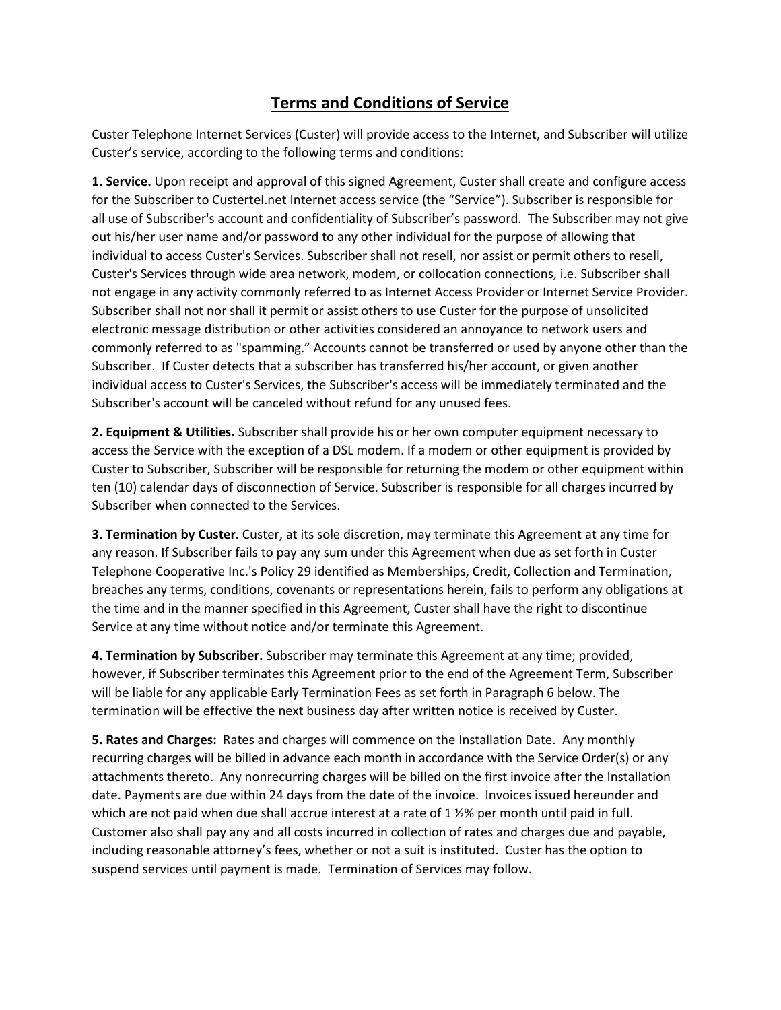## **Terms and Conditions of Service**

Custer Telephone Internet Services (Custer) will provide access to the Internet, and Subscriber will utilize Custer's service, according to the following terms and conditions:

**1. Service.** Upon receipt and approval of this signed Agreement, Custer shall create and configure access for the Subscriber to Custertel.net Internet access service (the "Service"). Subscriber is responsible for all use of Subscriber's account and confidentiality of Subscriber's password. The Subscriber may not give out his/her user name and/or password to any other individual for the purpose of allowing that individual to access Custer's Services. Subscriber shall not resell, nor assist or permit others to resell, Custer's Services through wide area network, modem, or collocation connections, i.e. Subscriber shall not engage in any activity commonly referred to as Internet Access Provider or Internet Service Provider. Subscriber shall not nor shall it permit or assist others to use Custer for the purpose of unsolicited electronic message distribution or other activities considered an annoyance to network users and commonly referred to as "spamming." Accounts cannot be transferred or used by anyone other than the Subscriber. If Custer detects that a subscriber has transferred his/her account, or given another individual access to Custer's Services, the Subscriber's access will be immediately terminated and the Subscriber's account will be canceled without refund for any unused fees.

**2. Equipment & Utilities.** Subscriber shall provide his or her own computer equipment necessary to access the Service with the exception of a DSL modem. If a modem or other equipment is provided by Custer to Subscriber, Subscriber will be responsible for returning the modem or other equipment within ten (10) calendar days of disconnection of Service. Subscriber is responsible for all charges incurred by Subscriber when connected to the Services.

**3. Termination by Custer.** Custer, at its sole discretion, may terminate this Agreement at any time for any reason. If Subscriber fails to pay any sum under this Agreement when due as set forth in Custer Telephone Cooperative Inc.'s Policy 29 identified as Memberships, Credit, Collection and Termination, breaches any terms, conditions, covenants or representations herein, fails to perform any obligations at the time and in the manner specified in this Agreement, Custer shall have the right to discontinue Service at any time without notice and/or terminate this Agreement.

**4. Termination by Subscriber.** Subscriber may terminate this Agreement at any time; provided, however, if Subscriber terminates this Agreement prior to the end of the Agreement Term, Subscriber will be liable for any applicable Early Termination Fees as set forth in Paragraph 6 below. The termination will be effective the next business day after written notice is received by Custer.

**5. Rates and Charges:** Rates and charges will commence on the Installation Date. Any monthly recurring charges will be billed in advance each month in accordance with the Service Order(s) or any attachments thereto. Any nonrecurring charges will be billed on the first invoice after the Installation date. Payments are due within 24 days from the date of the invoice. Invoices issued hereunder and which are not paid when due shall accrue interest at a rate of 1  $\frac{1}{2}$ % per month until paid in full. Customer also shall pay any and all costs incurred in collection of rates and charges due and payable, including reasonable attorney's fees, whether or not a suit is instituted. Custer has the option to suspend services until payment is made. Termination of Services may follow.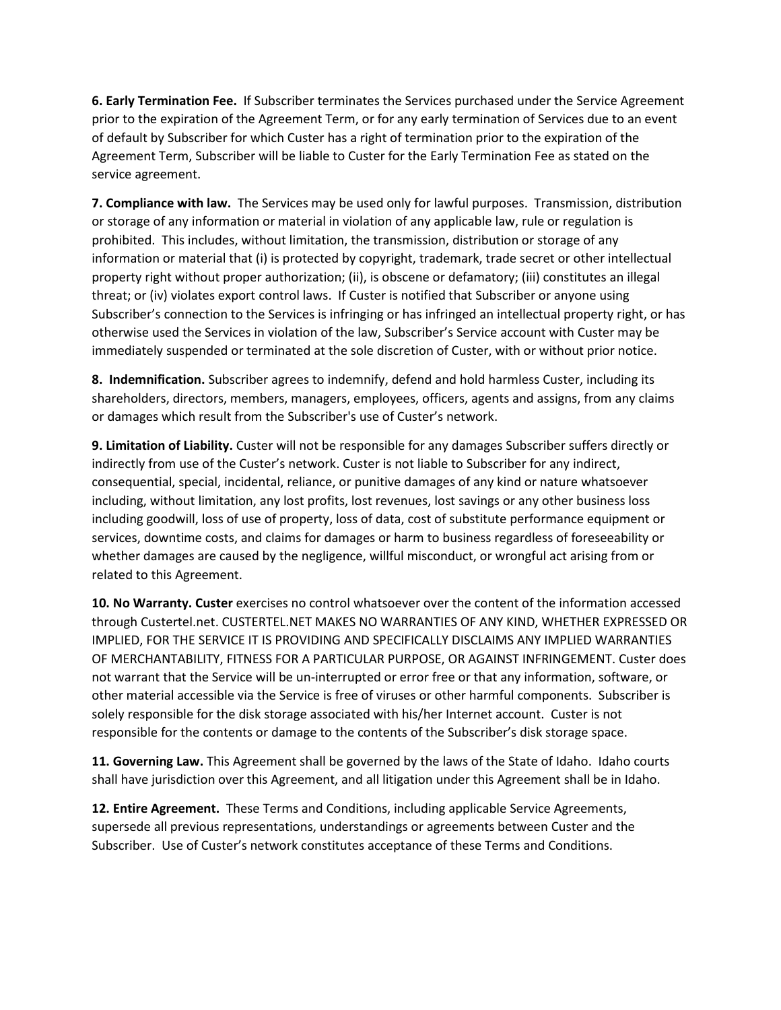**6. Early Termination Fee.** If Subscriber terminates the Services purchased under the Service Agreement prior to the expiration of the Agreement Term, or for any early termination of Services due to an event of default by Subscriber for which Custer has a right of termination prior to the expiration of the Agreement Term, Subscriber will be liable to Custer for the Early Termination Fee as stated on the service agreement.

**7. Compliance with law.** The Services may be used only for lawful purposes. Transmission, distribution or storage of any information or material in violation of any applicable law, rule or regulation is prohibited. This includes, without limitation, the transmission, distribution or storage of any information or material that (i) is protected by copyright, trademark, trade secret or other intellectual property right without proper authorization; (ii), is obscene or defamatory; (iii) constitutes an illegal threat; or (iv) violates export control laws. If Custer is notified that Subscriber or anyone using Subscriber's connection to the Services is infringing or has infringed an intellectual property right, or has otherwise used the Services in violation of the law, Subscriber's Service account with Custer may be immediately suspended or terminated at the sole discretion of Custer, with or without prior notice.

**8. Indemnification.** Subscriber agrees to indemnify, defend and hold harmless Custer, including its shareholders, directors, members, managers, employees, officers, agents and assigns, from any claims or damages which result from the Subscriber's use of Custer's network.

**9. Limitation of Liability.** Custer will not be responsible for any damages Subscriber suffers directly or indirectly from use of the Custer's network. Custer is not liable to Subscriber for any indirect, consequential, special, incidental, reliance, or punitive damages of any kind or nature whatsoever including, without limitation, any lost profits, lost revenues, lost savings or any other business loss including goodwill, loss of use of property, loss of data, cost of substitute performance equipment or services, downtime costs, and claims for damages or harm to business regardless of foreseeability or whether damages are caused by the negligence, willful misconduct, or wrongful act arising from or related to this Agreement.

**10. No Warranty. Custer** exercises no control whatsoever over the content of the information accessed through Custertel.net. CUSTERTEL.NET MAKES NO WARRANTIES OF ANY KIND, WHETHER EXPRESSED OR IMPLIED, FOR THE SERVICE IT IS PROVIDING AND SPECIFICALLY DISCLAIMS ANY IMPLIED WARRANTIES OF MERCHANTABILITY, FITNESS FOR A PARTICULAR PURPOSE, OR AGAINST INFRINGEMENT. Custer does not warrant that the Service will be un-interrupted or error free or that any information, software, or other material accessible via the Service is free of viruses or other harmful components. Subscriber is solely responsible for the disk storage associated with his/her Internet account. Custer is not responsible for the contents or damage to the contents of the Subscriber's disk storage space.

**11. Governing Law.** This Agreement shall be governed by the laws of the State of Idaho. Idaho courts shall have jurisdiction over this Agreement, and all litigation under this Agreement shall be in Idaho.

**12. Entire Agreement.** These Terms and Conditions, including applicable Service Agreements, supersede all previous representations, understandings or agreements between Custer and the Subscriber. Use of Custer's network constitutes acceptance of these Terms and Conditions.